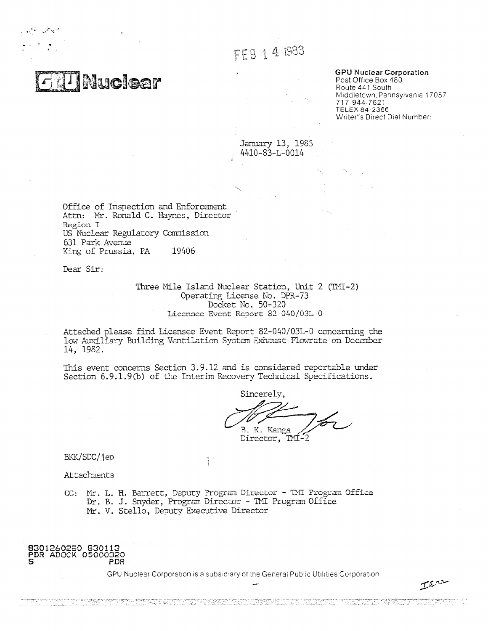FEB 1 4 1983

**GPU Nuclear Corporation** Post Office Box 480 Route 441 South Middletown, Pennsylvania 17057 717 944-7621 TELEX 64-2366 Writer"s Direct Dial Number:

IEn

January 13, 1983 4410-83-L-0014

Office of Inspection and Enforcanent Attn: Mr. Ronald C. Haynes, Director Region I US Nuclear Regulatory Commission 631 Park Avenue King of Prussia, PA 19406

**Nuclear** 

Dear Sir:

Three Mile Island Nuclear Station, Unit 2 (TMI-2) Operating License No. DPR-73 Docket No. 50-320 Licensee Event Report 82-040/03L-0

Attached please find Licensee Event Report 82-040/03L-0 concerning the low Auxiliary Building Ventilation System Exhaust Flowrate on December 14, 1982.

This event concerns Section 3.9.12 and is considered reportable under Section 6.9.1.9(b) of the Interim Recovery Technical Specifications.

Sincerely, R\_ K. Kanga Director, INI-2

BKK/SDC/jep

Attachments

CC: Mr. L. FL Barrett, Deputy Program Director - TNI Program Office Dr. B. J. Snyder, Program Director - ThI Program Office **Mr.** V. Stello, Deputy Executive Director

#### **8301260280 830113 PDR** ADOCK 05000320 PDR

GPU Nuclear Corporation is a subsidiary of the General Public Utilities Corporation

a da basa da basa da basa da basa da basan da basan da da basa da basa da basa da basa da basa da basa da basa<br>Da basa da basa da basa da basa da basa da basa da basa da basa da basa da basa da basa da basa da basa da bas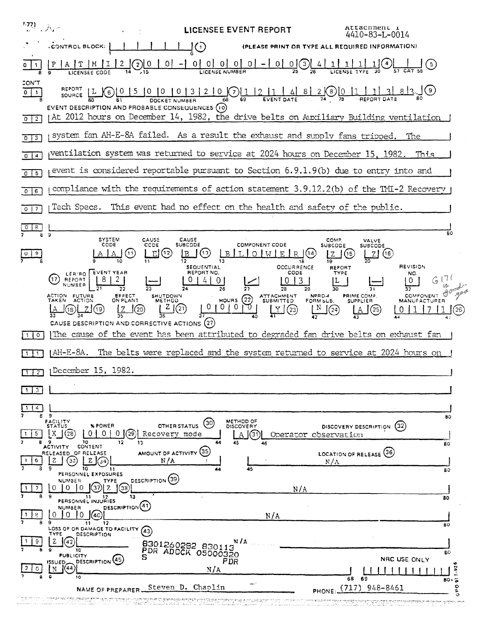| $\mathbb{E}^{77}$ , $\mathbb{E}^{77}$ | Attacnment i<br>LICENSEE EVENT REPORT<br>4410-83-L-0014                                                                                                                                                                                                                                                                                                                                  |
|---------------------------------------|------------------------------------------------------------------------------------------------------------------------------------------------------------------------------------------------------------------------------------------------------------------------------------------------------------------------------------------------------------------------------------------|
|                                       | $\mathsf{J}(\bar{\cdot})$<br><b>CONTROL BLOCK:</b><br>(PLEASE PRINT OR TYPE ALL REQUIRED INFORMATION)                                                                                                                                                                                                                                                                                    |
|                                       | $\circ$                                                                                                                                                                                                                                                                                                                                                                                  |
| CON'T<br>$0 \mid 1$                   | . ] (९)                                                                                                                                                                                                                                                                                                                                                                                  |
| $0 \mid 2$                            | EVENT DESCRIPTION AND PROBABLE CONSEQUENCES (10)<br>At 2012 hours on December 14, 1982, the drive belts on Auxiliary Building ventilation                                                                                                                                                                                                                                                |
| 0 <sup>13</sup>                       | system fan AH-E-8A failed. As a result the exhaust and supply fans tripped.<br>The                                                                                                                                                                                                                                                                                                       |
| $0 \mid 4$                            | ventilation system was returned to service at 2024 hours on December 15, 1982.<br>This                                                                                                                                                                                                                                                                                                   |
| $0$ 5                                 | event is considered reportable pursuant to Section 6.9.1.9(b) due to entry into and                                                                                                                                                                                                                                                                                                      |
| 0   6                                 | compliance with the requirements of action statement 3.9.12.2(b) of the IMI-2 Recovery                                                                                                                                                                                                                                                                                                   |
| $\overline{\phantom{a}}$<br>$\circ$   | This event had no effect on the health and safety of the public.<br>Tech Specs.                                                                                                                                                                                                                                                                                                          |
| 8.<br>8                               | 80<br>э                                                                                                                                                                                                                                                                                                                                                                                  |
|                                       | <b>SYSTEM</b><br>CAUSE<br>CAUSE<br>COMP.<br>VALVE<br>CODE<br><b>SUBCODE</b><br>CCDE<br><b>COMPONENT CODE</b><br><b>SUBCODE</b><br><b>SUBCODE</b><br>(13)<br>(12)<br>(11)<br>B<br>OIWIE<br>1(14)<br>(15)<br>(16)<br>E.<br>R<br>Z<br>Z<br><b>REVISION</b><br><b>OCCURRENCE</b><br>SEQUENTIAL<br><b>REPORT</b>                                                                              |
|                                       | EVENT YEAR<br>REPORT NO.<br>CODE<br><b>TYPE</b><br>NO<br>LER/RO<br>(17<br><b>REPORT</b><br>$\mathbf{3}$<br>U<br>NUMBER<br>29<br>26<br>28                                                                                                                                                                                                                                                 |
|                                       | ACTION FUTURE<br>TAKEN ACTION<br>EFFECT<br>ON PLANT<br><b>PRIME COMP</b><br>COMPONENT<br><b>SHUTDOWN</b><br>ATTACHMENT<br>SUBMITTED<br>NPRD-4<br>HOURS $(22)$<br><b>METHOD</b><br>FORM SUB.<br><b>SUPPLIER</b><br><b>MANUFACTURER</b><br>$\mathbf{z}$<br>$\circ$<br>$\cup$<br>0<br>(21)<br>(20)<br>(23)<br>(24)<br>(19)<br>(18)<br>(25)<br>CAUSE DESCRIPTION AND CORRECTIVE ACTIONS (27) |
| $\circ$<br>1.                         | The cause of the event has been attributed to degraded fan drive belts on exhaust fan                                                                                                                                                                                                                                                                                                    |
|                                       | The belts were replaced and the system returned to service at 2024 hours on<br>AH-E-8A.                                                                                                                                                                                                                                                                                                  |
| $1 \mid 2 \mid$                       | December 15, 1982.                                                                                                                                                                                                                                                                                                                                                                       |
| 3                                     |                                                                                                                                                                                                                                                                                                                                                                                          |
| 4<br>ε.                               | - 9                                                                                                                                                                                                                                                                                                                                                                                      |
| 5<br>8                                | 80<br>FACILITY<br>METHOD OF<br>(30)<br>% POWER<br>OTHER STATUS<br>(32)<br><b>STATUS</b><br><b>DISCOVERY</b><br>DISCOVERY DESCRIPTION<br>Χ<br>(28)<br>01<br>(29)<br>0.<br>0<br>Recovery mode<br>31<br>Operator observation<br>-9<br>10<br>12<br>13<br>45<br>80                                                                                                                            |
|                                       | ACTIVITY CONTENT<br>AMOUNT OF ACTIVITY (35)<br>LOCATION OF RELEASE (36)<br>RELEASED OF RELEASE<br>Ζ<br>33<br>z<br>N/A<br>$N/\Lambda$<br>34<br>10<br>45<br>11<br>44<br>80                                                                                                                                                                                                                 |
|                                       | PERSONNEL EXPOSURES<br>DESCRIPTION<br>NUMBER<br><b>TYPE</b><br>$\Omega$<br>0<br>$\Omega$<br>38<br>N/A<br>9<br>13<br>11<br>12<br>80<br>PERSONNEL INJURIES                                                                                                                                                                                                                                 |
| 8.                                    | DESCRIPTION <sup>(41)</sup><br><b>NUMBER</b><br>0<br>$\Omega$<br>$\Omega$<br>N/A<br>40.                                                                                                                                                                                                                                                                                                  |
| 9                                     | 9<br>12<br>11<br>80<br>LOSS OF OR DAMAGE TO FACILITY<br>(43)<br>TYPE<br><b>DESCRIPTION</b><br>N / A<br>'42<br>8301260282 830113<br>10                                                                                                                                                                                                                                                    |
|                                       | PDR ADOCK 05000320<br>80<br><b>PUBLICITY</b><br>s<br>NRC USE ONLY<br>DESCRIPTION <sup>(45)</sup><br>PDR<br>ISSUED_<br>٠o<br>'44<br>N/A                                                                                                                                                                                                                                                   |
|                                       | $7 - 92$<br>10<br>68<br>69<br>$80 - 5$<br>۰<br>Steven D. Chaplin<br>(717)<br>948-8461<br>NAME OF PREPARER<br>PHONE:<br>σ.                                                                                                                                                                                                                                                                |
|                                       | ю<br><u>Muzikima jauniministi p</u><br>mi sanak mitang sua gendukoten                                                                                                                                                                                                                                                                                                                    |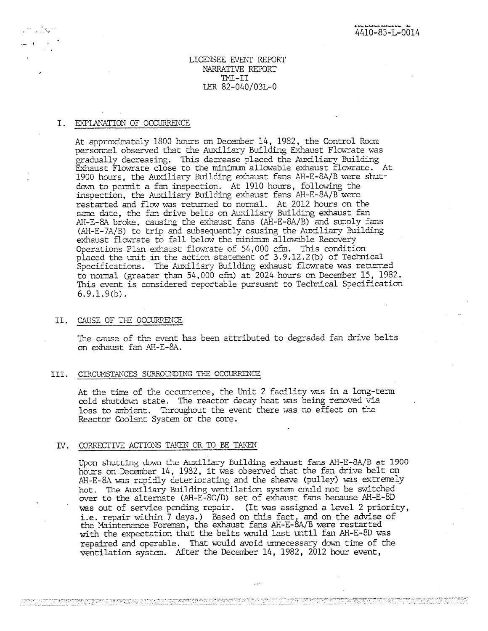# LICENSEE EVENT REPORT NARRATIVE REPORT TMI-II LER 82-040/03L-0

# I. EXPLANATION OF OCCURRENCE

At approximately 1800 hours on December 14, 1982, the Control Room personnel observed that the Auxiliary Building Exhaust Flowrate was gradually decreasing. This decrease placed the Auxiliary Building Exhaust Flowrate close to the minirnum allowable exhaust flowrate. At 1900 hours, the Auxiliary Building exhaust fans AH-E-8A/B were shutdown to permit a fan inspection. At 1910 hours, following the inspection, the Auxiliary Building exhaust fans AH-E-SA/B were restarted and flow was returned to normal. At 2012 hours on the same date, the fan drive belts on Auxiliary Building exhaust fan AH-E-8A broke, causing the exhaust fans (AH-E-8A/B) and supply fans (AH-E-7A/B) to trip and subsequently causing the Auxiliary Building exhaust flowrate to fall below the minimum allowable Recovery Operations Plan exhaust flowrate of 54,000 cfm. This condition placed the unit in the action statement of 3.9.12.2(b) of Technical Specifications. The Auxiliary Building exhaust flowrate was returned to normal (greater than 54,000 cfin) at 2024 hours on December 15, 1982. This event is considered reportable pursuant to Technical Specification 6.9.1.9(b).

#### II. CAUSE OF THE OCCURRENCE

The cause of the event has been attributed to degraded fan drive belts on exhaust fan AH-E-8A.

#### III. CIRCUMSTANCES SURROUNDING TIE OCCURRENCE

At the time of the occurrence, the Unit 2 facility was in a long-term cold shutdown state. The reactor decay heat was being removed via loss to ambient. Throughout the event there was no effect on the Reactor Coolant System or the core.

## IV. CORRECTIVE ACTIONS TAKEN OR TO BE TAKEN

<u>the presented any particle is the series of the series of the series of the series of the series of the series of the series of the series of the series of the series of the series of the series of the series of the serie</u>

Upon shutting down the Auxiliary Building exhaust fans AH-E-8A/B at 1900 hours on December 14, 1982, it was observed that the fan drive belt on AH-E-8A was rapidly deteriorating and the sheave (pulley) was extremely hot. The Auxiliary Building ventilation system could not be switched over to the alternate (AH-E-SC/D) set of exhaust fans because AH-E-8D was out of service pending repair. (It was assigned a level 2 priority, **i.e.** repair within 7 days.) Based on this fact, and on the advise of the Maintenance Foreman, the exhaust fans AH-E-8A/B were restarted with the expectation that the belts would last until fan AH-E-8D was repaired and operable. That would avoid unnecessary down time of the ventilation system. After the December 14, 1982, 2012 hour event,